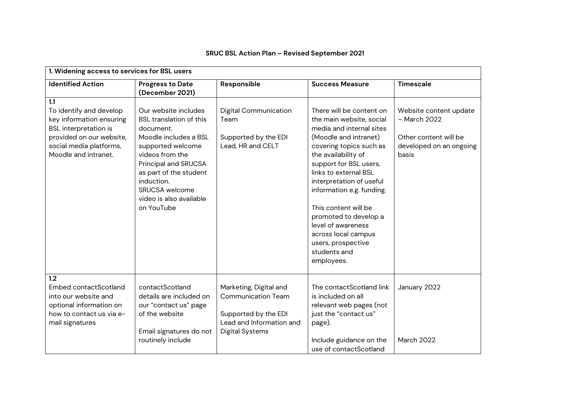| 1. Widening access to services for BSL users                                                                                                                              |                                                                                                                                                                                                                                                          |                                                                                                                                   |                                                                                                                                                                                                                                                                                                                                                                                                                           |                                                                                                     |
|---------------------------------------------------------------------------------------------------------------------------------------------------------------------------|----------------------------------------------------------------------------------------------------------------------------------------------------------------------------------------------------------------------------------------------------------|-----------------------------------------------------------------------------------------------------------------------------------|---------------------------------------------------------------------------------------------------------------------------------------------------------------------------------------------------------------------------------------------------------------------------------------------------------------------------------------------------------------------------------------------------------------------------|-----------------------------------------------------------------------------------------------------|
| <b>Identified Action</b>                                                                                                                                                  | <b>Progress to Date</b><br>(December 2021)                                                                                                                                                                                                               | Responsible                                                                                                                       | <b>Success Measure</b>                                                                                                                                                                                                                                                                                                                                                                                                    | <b>Timescale</b>                                                                                    |
| 1.1<br>To identify and develop<br>key information ensuring<br><b>BSL</b> interpretation is<br>provided on our website,<br>social media platforms,<br>Moodle and intranet. | Our website includes<br>BSL translation of this<br>document.<br>Moodle includes a BSL<br>supported welcome<br>videos from the<br>Principal and SRUCSA<br>as part of the student<br>induction.<br>SRUCSA welcome<br>video is also available<br>on YouTube | Digital Communication<br>Team<br>Supported by the EDI<br>Lead, HR and CELT                                                        | There will be content on<br>the main website, social<br>media and internal sites<br>(Moodle and intranet)<br>covering topics such as<br>the availability of<br>support for BSL users,<br>links to external BSL<br>interpretation of useful<br>information e.g. funding.<br>This content will be<br>promoted to develop a<br>level of awareness<br>across local campus<br>users, prospective<br>students and<br>employees. | Website content update<br>- March 2022<br>Other content will be<br>developed on an ongoing<br>basis |
| 1.2<br>Embed contactScotland<br>into our website and<br>optional information on<br>how to contact us via e-<br>mail signatures                                            | contactScotland<br>details are included on<br>our "contact us" page<br>of the website<br>Email signatures do not<br>routinely include                                                                                                                    | Marketing, Digital and<br><b>Communication Team</b><br>Supported by the EDI<br>Lead and Information and<br><b>Digital Systems</b> | The contactScotland link<br>is included on all<br>relevant web pages (not<br>just the "contact us"<br>page).<br>Include guidance on the<br>use of contactScotland                                                                                                                                                                                                                                                         | January 2022<br>March 2022                                                                          |

## **SRUC BSL Action Plan – Revised September 2021**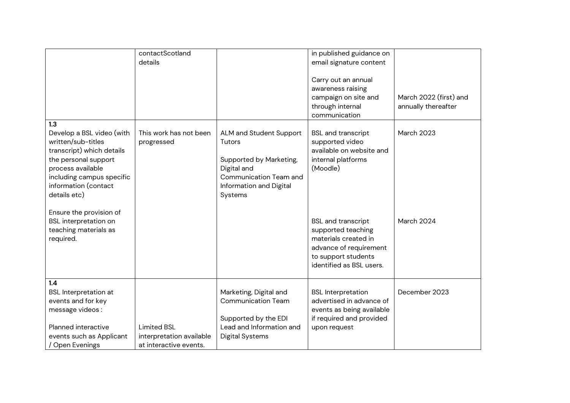|                                                                                                                                                                                                | contactScotland<br>details                                               |                                                                                                                                             | in published guidance on<br>email signature content<br>Carry out an annual<br>awareness raising<br>campaign on site and                              | March 2022 (first) and |
|------------------------------------------------------------------------------------------------------------------------------------------------------------------------------------------------|--------------------------------------------------------------------------|---------------------------------------------------------------------------------------------------------------------------------------------|------------------------------------------------------------------------------------------------------------------------------------------------------|------------------------|
|                                                                                                                                                                                                |                                                                          |                                                                                                                                             | through internal<br>communication                                                                                                                    | annually thereafter    |
| 1.3                                                                                                                                                                                            |                                                                          |                                                                                                                                             |                                                                                                                                                      |                        |
| Develop a BSL video (with<br>written/sub-titles<br>transcript) which details<br>the personal support<br>process available<br>including campus specific<br>information (contact<br>details etc) | This work has not been<br>progressed                                     | ALM and Student Support<br>Tutors<br>Supported by Marketing,<br>Digital and<br>Communication Team and<br>Information and Digital<br>Systems | <b>BSL</b> and transcript<br>supported video<br>available on website and<br>internal platforms<br>(Moodle)                                           | March 2023             |
| Ensure the provision of<br><b>BSL</b> interpretation on<br>teaching materials as<br>required.                                                                                                  |                                                                          |                                                                                                                                             | <b>BSL and transcript</b><br>supported teaching<br>materials created in<br>advance of requirement<br>to support students<br>identified as BSL users. | March 2024             |
| 1.4<br><b>BSL</b> Interpretation at<br>events and for key<br>message videos:                                                                                                                   |                                                                          | Marketing, Digital and<br><b>Communication Team</b><br>Supported by the EDI                                                                 | <b>BSL</b> Interpretation<br>advertised in advance of<br>events as being available<br>if required and provided                                       | December 2023          |
| Planned interactive<br>events such as Applicant<br>/ Open Evenings                                                                                                                             | <b>Limited BSL</b><br>interpretation available<br>at interactive events. | Lead and Information and<br><b>Digital Systems</b>                                                                                          | upon request                                                                                                                                         |                        |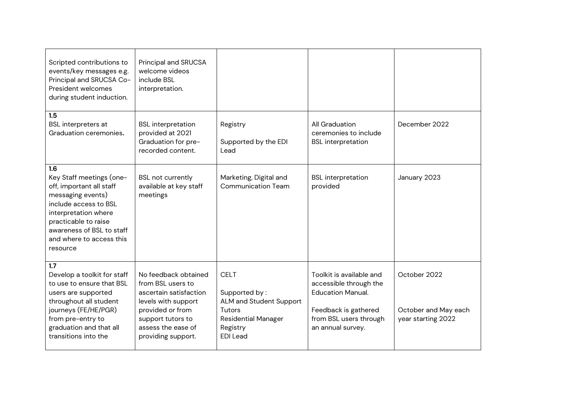| Scripted contributions to<br>events/key messages e.g.<br>Principal and SRUCSA Co-<br>President welcomes<br>during student induction.                                                                                           | Principal and SRUCSA<br>welcome videos<br>include BSL<br>interpretation.                                                                                                        |                                                                                                                                       |                                                                                                                                                       |                                                            |
|--------------------------------------------------------------------------------------------------------------------------------------------------------------------------------------------------------------------------------|---------------------------------------------------------------------------------------------------------------------------------------------------------------------------------|---------------------------------------------------------------------------------------------------------------------------------------|-------------------------------------------------------------------------------------------------------------------------------------------------------|------------------------------------------------------------|
| 1.5<br><b>BSL</b> interpreters at<br>Graduation ceremonies.                                                                                                                                                                    | <b>BSL</b> interpretation<br>provided at 2021<br>Graduation for pre-<br>recorded content.                                                                                       | Registry<br>Supported by the EDI<br>Lead                                                                                              | All Graduation<br>ceremonies to include<br><b>BSL</b> interpretation                                                                                  | December 2022                                              |
| 1.6<br>Key Staff meetings (one-<br>off, important all staff<br>messaging events)<br>include access to BSL<br>interpretation where<br>practicable to raise<br>awareness of BSL to staff<br>and where to access this<br>resource | <b>BSL not currently</b><br>available at key staff<br>meetings                                                                                                                  | Marketing, Digital and<br><b>Communication Team</b>                                                                                   | <b>BSL</b> interpretation<br>provided                                                                                                                 | January 2023                                               |
| 1.7<br>Develop a toolkit for staff<br>to use to ensure that BSL<br>users are supported<br>throughout all student<br>journeys (FE/HE/PGR)<br>from pre-entry to<br>graduation and that all<br>transitions into the               | No feedback obtained<br>from BSL users to<br>ascertain satisfaction<br>levels with support<br>provided or from<br>support tutors to<br>assess the ease of<br>providing support. | <b>CELT</b><br>Supported by:<br>ALM and Student Support<br><b>Tutors</b><br><b>Residential Manager</b><br>Registry<br><b>EDI</b> Lead | Toolkit is available and<br>accessible through the<br><b>Education Manual.</b><br>Feedback is gathered<br>from BSL users through<br>an annual survey. | October 2022<br>October and May each<br>year starting 2022 |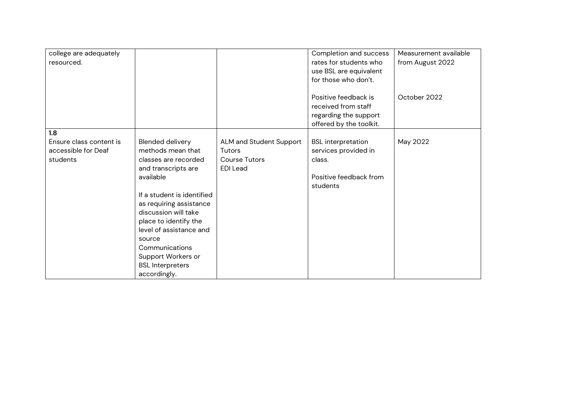| college are adequately<br>resourced.                              |                                                                                                                                                                                                                                                                                                                                     |                                                                              | Completion and success<br>rates for students who<br>use BSL are equivalent<br>for those who don't.<br>Positive feedback is<br>received from staff<br>regarding the support | Measurement available<br>from August 2022<br>October 2022 |
|-------------------------------------------------------------------|-------------------------------------------------------------------------------------------------------------------------------------------------------------------------------------------------------------------------------------------------------------------------------------------------------------------------------------|------------------------------------------------------------------------------|----------------------------------------------------------------------------------------------------------------------------------------------------------------------------|-----------------------------------------------------------|
|                                                                   |                                                                                                                                                                                                                                                                                                                                     |                                                                              | offered by the toolkit.                                                                                                                                                    |                                                           |
| 1.8<br>Ensure class content is<br>accessible for Deaf<br>students | Blended delivery<br>methods mean that<br>classes are recorded<br>and transcripts are<br>available<br>If a student is identified<br>as requiring assistance<br>discussion will take<br>place to identify the<br>level of assistance and<br>source<br>Communications<br>Support Workers or<br><b>BSL Interpreters</b><br>accordingly. | ALM and Student Support<br>Tutors<br><b>Course Tutors</b><br><b>EDI</b> Lead | <b>BSL</b> interpretation<br>services provided in<br>class.<br>Positive feedback from<br>students                                                                          | May 2022                                                  |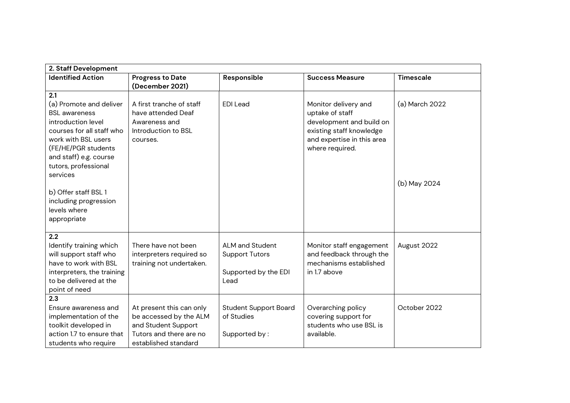| 2. Staff Development                             |                          |                              |                                                        |                  |  |
|--------------------------------------------------|--------------------------|------------------------------|--------------------------------------------------------|------------------|--|
| <b>Identified Action</b>                         | <b>Progress to Date</b>  | Responsible                  | <b>Success Measure</b>                                 | <b>Timescale</b> |  |
|                                                  | (December 2021)          |                              |                                                        |                  |  |
| 2.1                                              |                          |                              |                                                        |                  |  |
| (a) Promote and deliver                          | A first tranche of staff | <b>EDI</b> Lead              | Monitor delivery and                                   | (a) March 2022   |  |
| <b>BSL</b> awareness                             | have attended Deaf       |                              | uptake of staff                                        |                  |  |
| introduction level                               | Awareness and            |                              | development and build on                               |                  |  |
| courses for all staff who<br>work with BSL users | Introduction to BSL      |                              | existing staff knowledge<br>and expertise in this area |                  |  |
| (FE/HE/PGR students                              | courses.                 |                              | where required.                                        |                  |  |
| and staff) e.g. course                           |                          |                              |                                                        |                  |  |
| tutors, professional                             |                          |                              |                                                        |                  |  |
| services                                         |                          |                              |                                                        |                  |  |
|                                                  |                          |                              |                                                        | (b) May 2024     |  |
| b) Offer staff BSL 1                             |                          |                              |                                                        |                  |  |
| including progression                            |                          |                              |                                                        |                  |  |
| levels where                                     |                          |                              |                                                        |                  |  |
| appropriate                                      |                          |                              |                                                        |                  |  |
|                                                  |                          |                              |                                                        |                  |  |
| 2.2<br>Identify training which                   | There have not been      | ALM and Student              | Monitor staff engagement                               | August 2022      |  |
| will support staff who                           | interpreters required so | <b>Support Tutors</b>        | and feedback through the                               |                  |  |
| have to work with BSL                            | training not undertaken. |                              | mechanisms established                                 |                  |  |
| interpreters, the training                       |                          | Supported by the EDI         | in 1.7 above                                           |                  |  |
| to be delivered at the                           |                          | Lead                         |                                                        |                  |  |
| point of need                                    |                          |                              |                                                        |                  |  |
| 2.3                                              |                          |                              |                                                        |                  |  |
| Ensure awareness and                             | At present this can only | <b>Student Support Board</b> | Overarching policy                                     | October 2022     |  |
| implementation of the                            | be accessed by the ALM   | of Studies                   | covering support for                                   |                  |  |
| toolkit developed in                             | and Student Support      |                              | students who use BSL is                                |                  |  |
| action 1.7 to ensure that                        | Tutors and there are no  | Supported by:                | available.                                             |                  |  |
| students who require                             | established standard     |                              |                                                        |                  |  |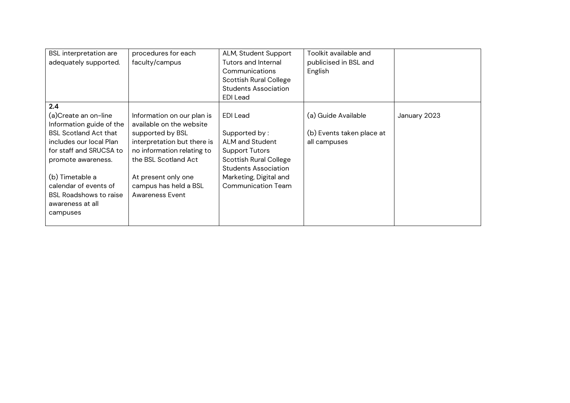| <b>BSL</b> interpretation are<br>adequately supported.                                                                                                                                                                                                                           | procedures for each<br>faculty/campus                                                                                                                                                                                              | ALM, Student Support<br>Tutors and Internal<br>Communications<br><b>Scottish Rural College</b><br><b>Students Association</b><br><b>EDI</b> Lead                                                    | Toolkit available and<br>publicised in BSL and<br>English        |              |
|----------------------------------------------------------------------------------------------------------------------------------------------------------------------------------------------------------------------------------------------------------------------------------|------------------------------------------------------------------------------------------------------------------------------------------------------------------------------------------------------------------------------------|-----------------------------------------------------------------------------------------------------------------------------------------------------------------------------------------------------|------------------------------------------------------------------|--------------|
| 2.4<br>(a)Create an on-line<br>Information guide of the<br><b>BSL Scotland Act that</b><br>includes our local Plan<br>for staff and SRUCSA to<br>promote awareness.<br>(b) Timetable a<br>calendar of events of<br><b>BSL Roadshows to raise</b><br>awareness at all<br>campuses | Information on our plan is<br>available on the website<br>supported by BSL<br>interpretation but there is<br>no information relating to<br>the BSL Scotland Act<br>At present only one<br>campus has held a BSL<br>Awareness Event | <b>EDI</b> Lead<br>Supported by:<br>ALM and Student<br><b>Support Tutors</b><br><b>Scottish Rural College</b><br><b>Students Association</b><br>Marketing, Digital and<br><b>Communication Team</b> | (a) Guide Available<br>(b) Events taken place at<br>all campuses | January 2023 |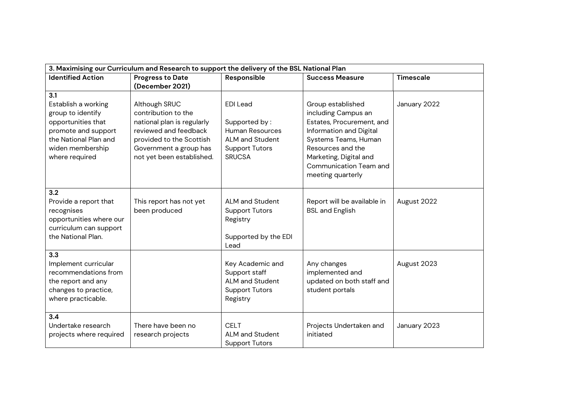| 3. Maximising our Curriculum and Research to support the delivery of the BSL National Plan |                            |                                   |                                |                  |  |
|--------------------------------------------------------------------------------------------|----------------------------|-----------------------------------|--------------------------------|------------------|--|
| <b>Identified Action</b>                                                                   | <b>Progress to Date</b>    | Responsible                       | <b>Success Measure</b>         | <b>Timescale</b> |  |
|                                                                                            | (December 2021)            |                                   |                                |                  |  |
| 3.1                                                                                        |                            |                                   |                                |                  |  |
| Establish a working                                                                        | Although SRUC              | <b>EDI</b> Lead                   | Group established              | January 2022     |  |
| group to identify                                                                          | contribution to the        |                                   | including Campus an            |                  |  |
| opportunities that                                                                         | national plan is regularly | Supported by:                     | Estates, Procurement, and      |                  |  |
| promote and support                                                                        | reviewed and feedback      | <b>Human Resources</b>            | Information and Digital        |                  |  |
| the National Plan and                                                                      | provided to the Scottish   | ALM and Student                   | Systems Teams, Human           |                  |  |
| widen membership                                                                           | Government a group has     | <b>Support Tutors</b>             | Resources and the              |                  |  |
| where required                                                                             | not yet been established.  | <b>SRUCSA</b>                     | Marketing, Digital and         |                  |  |
|                                                                                            |                            |                                   | Communication Team and         |                  |  |
|                                                                                            |                            |                                   | meeting quarterly              |                  |  |
|                                                                                            |                            |                                   |                                |                  |  |
| 3.2                                                                                        |                            |                                   |                                |                  |  |
| Provide a report that                                                                      | This report has not yet    | ALM and Student                   | Report will be available in    | August 2022      |  |
| recognises                                                                                 | been produced              | <b>Support Tutors</b>             | <b>BSL and English</b>         |                  |  |
| opportunities where our                                                                    |                            | Registry                          |                                |                  |  |
| curriculum can support                                                                     |                            |                                   |                                |                  |  |
| the National Plan.                                                                         |                            | Supported by the EDI              |                                |                  |  |
|                                                                                            |                            | Lead                              |                                |                  |  |
| 3.3<br>Implement curricular                                                                |                            |                                   |                                |                  |  |
| recommendations from                                                                       |                            | Key Academic and<br>Support staff | Any changes<br>implemented and | August 2023      |  |
| the report and any                                                                         |                            | <b>ALM and Student</b>            | updated on both staff and      |                  |  |
| changes to practice,                                                                       |                            | <b>Support Tutors</b>             | student portals                |                  |  |
| where practicable.                                                                         |                            | Registry                          |                                |                  |  |
|                                                                                            |                            |                                   |                                |                  |  |
| 3.4                                                                                        |                            |                                   |                                |                  |  |
| Undertake research                                                                         | There have been no         | <b>CELT</b>                       | Projects Undertaken and        | January 2023     |  |
| projects where required                                                                    | research projects          | ALM and Student                   | initiated                      |                  |  |
|                                                                                            |                            | <b>Support Tutors</b>             |                                |                  |  |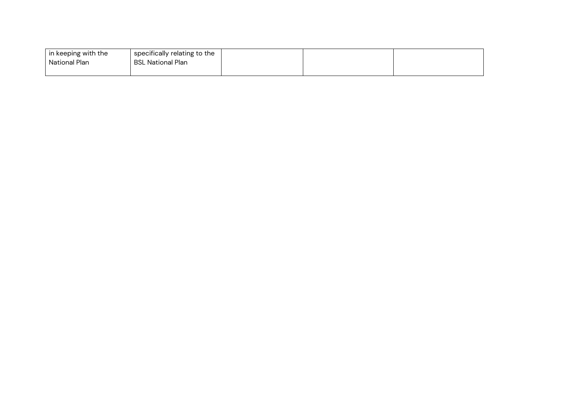| $\mid$ in keeping with the | specifically relating to the |  |  |
|----------------------------|------------------------------|--|--|
| National Plan              | BSL National Plan            |  |  |
|                            |                              |  |  |